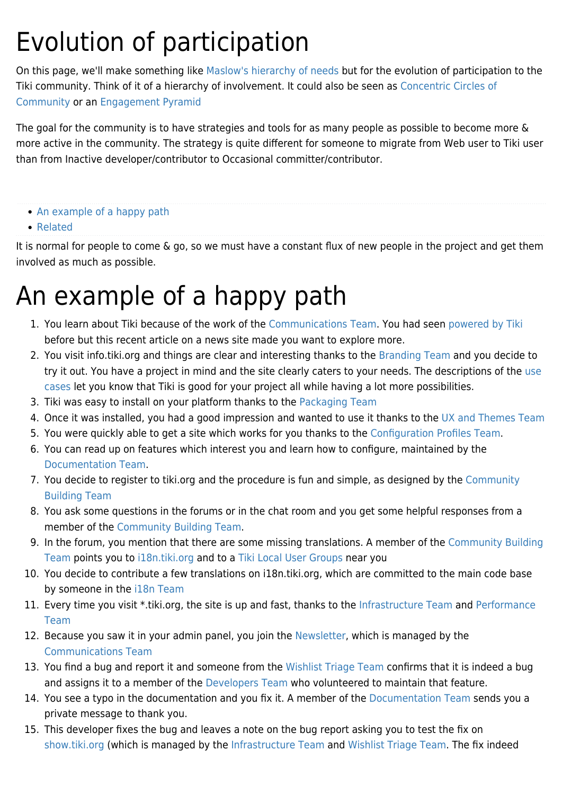## Evolution of participation

On this page, we'll make something like [Maslow's hierarchy of needs](http://en.wikipedia.org/wiki/Maslow) but for the evolution of participation to the Tiki community. Think of it of a hierarchy of involvement. It could also be seen as [Concentric Circles of](https://blog.lizardwrangler.com/2008/07/07/concentric-circles-of-community/) [Community](https://blog.lizardwrangler.com/2008/07/07/concentric-circles-of-community/) or an [Engagement Pyramid](http://www.idealware.org/articles/engagement-pyramid-six-levels-connecting-people-and-social-change)

The goal for the community is to have strategies and tools for as many people as possible to become more & more active in the community. The strategy is quite different for someone to migrate from Web user to Tiki user than from Inactive developer/contributor to Occasional committer/contributor.

- [An example of a happy path](#page--1-0)
- [Related](#page--1-0)

It is normal for people to come & go, so we must have a constant flux of new people in the project and get them involved as much as possible.

## An example of a happy path

- 1. You learn about Tiki because of the work of the [Communications Team.](https://tiki.org/Communications-Team) You had seen [powered by Tiki](http://branding.tiki.org/powered%20by%20Tiki) before but this recent article on a news site made you want to explore more.
- 2. You visit info.tiki.org and things are clear and interesting thanks to the [Branding Team](https://tiki.org/Branding-Team) and you decide to try it out. You have a project in mind and the site clearly caters to your needs. The descriptions of the [use](https://tiki.org/Use-Cases) [cases](https://tiki.org/Use-Cases) let you know that Tiki is good for your project all while having a lot more possibilities.
- 3. Tiki was easy to install on your platform thanks to the [Packaging Team](https://tiki.org/Packaging-Team)
- 4. Once it was installed, you had a good impression and wanted to use it thanks to the [UX and Themes Team](https://tiki.org/UX-and-Themes-Team)
- 5. You were quickly able to get a site which works for you thanks to the [Configuration Profiles Team](https://tiki.org/Configuration-Profiles-Team).
- 6. You can read up on features which interest you and learn how to configure, maintained by the [Documentation Team](https://tiki.org/Documentation-Team).
- 7. You decide to register to tiki.org and the procedure is fun and simple, as designed by the [Community](https://tiki.org/Community-Building-Team) [Building Team](https://tiki.org/Community-Building-Team)
- 8. You ask some questions in the forums or in the chat room and you get some helpful responses from a member of the [Community Building Team.](https://tiki.org/Community-Building-Team)
- 9. In the forum, you mention that there are some missing translations. A member of the [Community Building](https://tiki.org/Community-Building-Team) [Team](https://tiki.org/Community-Building-Team) points you to [i18n.tiki.org](https://tiki.org/i18n.tiki.org) and to a [Tiki Local User Groups](https://tiki.org/Tiki-Local-User-Groups) near you
- 10. You decide to contribute a few translations on i18n.tiki.org, which are committed to the main code base by someone in the [i18n Team](https://tiki.org/i18n-Team)
- 11. Every time you visit \*.tiki.org, the site is up and fast, thanks to the [Infrastructure Team](https://tiki.org/Infrastructure-Team) and [Performance](https://tiki.org/Performance-Team) [Team](https://tiki.org/Performance-Team)
- 12. Because you saw it in your admin panel, you join the [Newsletter](https://tiki.org/Newsletters), which is managed by the [Communications Team](https://tiki.org/Communications-Team)
- 13. You find a bug and report it and someone from the [Wishlist Triage Team](https://tiki.org/Wishlist-Triage-Team) confirms that it is indeed a bug and assigns it to a member of the [Developers Team](https://tiki.org/Developers-Team) who volunteered to maintain that feature.
- 14. You see a typo in the documentation and you fix it. A member of the [Documentation Team](https://tiki.org/Documentation-Team) sends you a private message to thank you.
- 15. This developer fixes the bug and leaves a note on the bug report asking you to test the fix on [show.tiki.org](https://tiki.org/show.tiki.org) (which is managed by the [Infrastructure Team](https://tiki.org/Infrastructure-Team) and [Wishlist Triage Team.](https://tiki.org/Wishlist-Triage-Team) The fix indeed